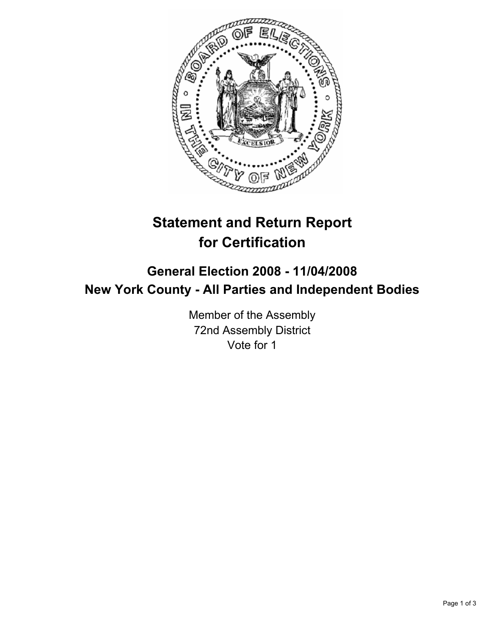

# **Statement and Return Report for Certification**

## **General Election 2008 - 11/04/2008 New York County - All Parties and Independent Bodies**

Member of the Assembly 72nd Assembly District Vote for 1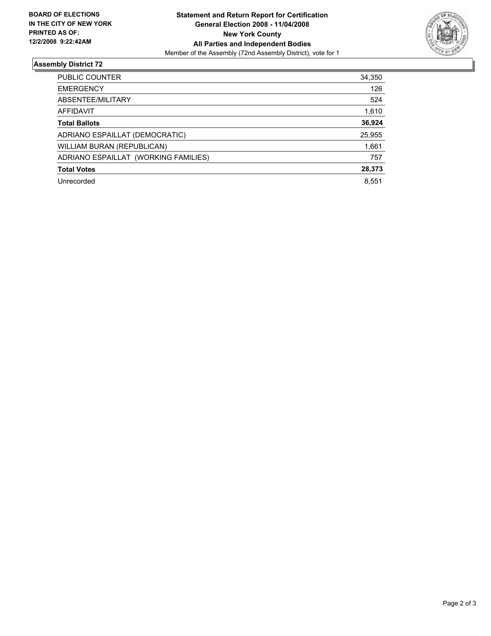

### **Assembly District 72**

| PUBLIC COUNTER                       | 34,350 |
|--------------------------------------|--------|
| <b>EMERGENCY</b>                     | 126    |
| ABSENTEE/MILITARY                    | 524    |
| AFFIDAVIT                            | 1,610  |
| <b>Total Ballots</b>                 | 36,924 |
| ADRIANO ESPAILLAT (DEMOCRATIC)       | 25,955 |
| WILLIAM BURAN (REPUBLICAN)           | 1,661  |
| ADRIANO ESPAILLAT (WORKING FAMILIES) | 757    |
| <b>Total Votes</b>                   | 28,373 |
| Unrecorded                           | 8.551  |